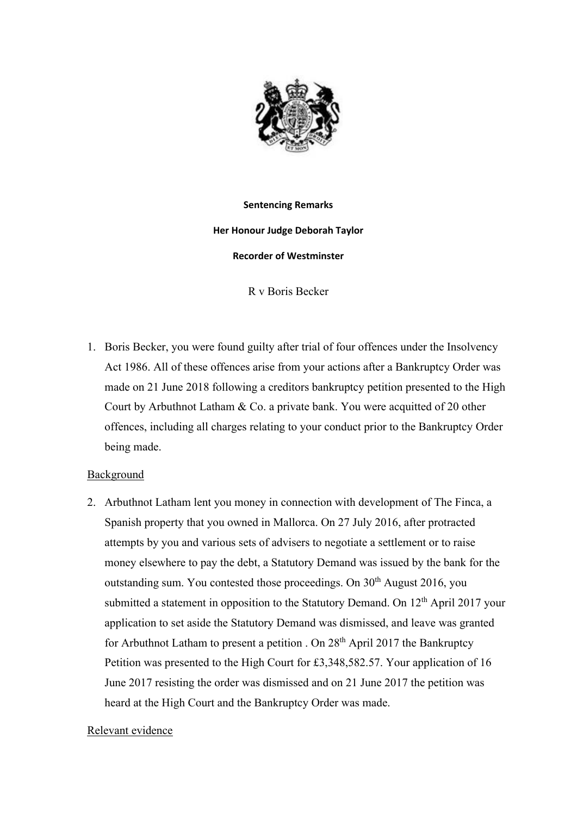

**Sentencing Remarks Her Honour Judge Deborah Taylor Recorder of Westminster**

R v Boris Becker

1. Boris Becker, you were found guilty after trial of four offences under the Insolvency Act 1986. All of these offences arise from your actions after a Bankruptcy Order was made on 21 June 2018 following a creditors bankruptcy petition presented to the High Court by Arbuthnot Latham & Co. a private bank. You were acquitted of 20 other offences, including all charges relating to your conduct prior to the Bankruptcy Order being made.

# Background

2. Arbuthnot Latham lent you money in connection with development of The Finca, a Spanish property that you owned in Mallorca. On 27 July 2016, after protracted attempts by you and various sets of advisers to negotiate a settlement or to raise money elsewhere to pay the debt, a Statutory Demand was issued by the bank for the outstanding sum. You contested those proceedings. On 30<sup>th</sup> August 2016, you submitted a statement in opposition to the Statutory Demand. On 12<sup>th</sup> April 2017 your application to set aside the Statutory Demand was dismissed, and leave was granted for Arbuthnot Latham to present a petition . On  $28<sup>th</sup>$  April 2017 the Bankruptcy Petition was presented to the High Court for £3,348,582.57. Your application of 16 June 2017 resisting the order was dismissed and on 21 June 2017 the petition was heard at the High Court and the Bankruptcy Order was made.

## Relevant evidence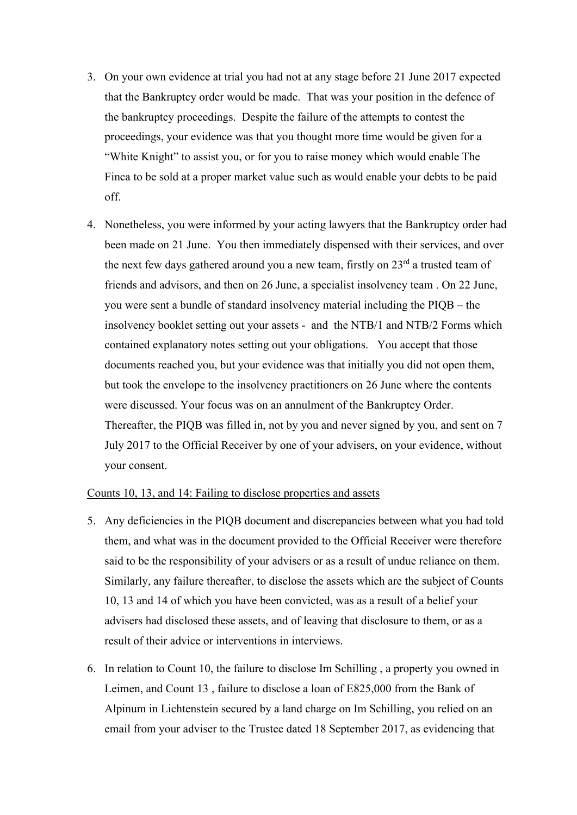- 3. On your own evidence at trial you had not at any stage before 21 June 2017 expected that the Bankruptcy order would be made. That was your position in the defence of the bankruptcy proceedings. Despite the failure of the attempts to contest the proceedings, your evidence was that you thought more time would be given for a "White Knight" to assist you, or for you to raise money which would enable The Finca to be sold at a proper market value such as would enable your debts to be paid off.
- 4. Nonetheless, you were informed by your acting lawyers that the Bankruptcy order had been made on 21 June. You then immediately dispensed with their services, and over the next few days gathered around you a new team, firstly on 23<sup>rd</sup> a trusted team of friends and advisors, and then on 26 June, a specialist insolvency team . On 22 June, you were sent a bundle of standard insolvency material including the PIQB – the insolvency booklet setting out your assets - and the NTB/1 and NTB/2 Forms which contained explanatory notes setting out your obligations. You accept that those documents reached you, but your evidence was that initially you did not open them, but took the envelope to the insolvency practitioners on 26 June where the contents were discussed. Your focus was on an annulment of the Bankruptcy Order. Thereafter, the PIQB was filled in, not by you and never signed by you, and sent on 7 July 2017 to the Official Receiver by one of your advisers, on your evidence, without your consent.

# Counts 10, 13, and 14: Failing to disclose properties and assets

- 5. Any deficiencies in the PIQB document and discrepancies between what you had told them, and what was in the document provided to the Official Receiver were therefore said to be the responsibility of your advisers or as a result of undue reliance on them. Similarly, any failure thereafter, to disclose the assets which are the subject of Counts 10, 13 and 14 of which you have been convicted, was as a result of a belief your advisers had disclosed these assets, and of leaving that disclosure to them, or as a result of their advice or interventions in interviews.
- 6. In relation to Count 10, the failure to disclose Im Schilling , a property you owned in Leimen, and Count 13 , failure to disclose a loan of E825,000 from the Bank of Alpinum in Lichtenstein secured by a land charge on Im Schilling, you relied on an email from your adviser to the Trustee dated 18 September 2017, as evidencing that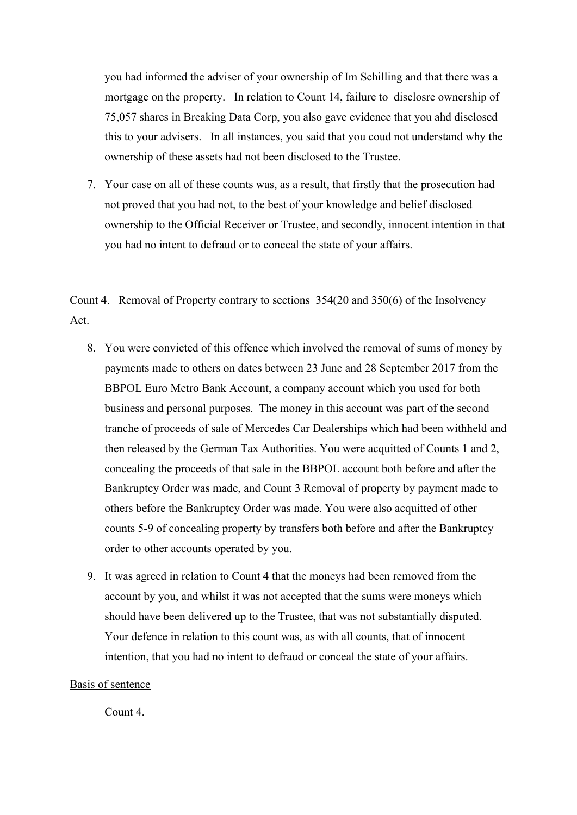you had informed the adviser of your ownership of Im Schilling and that there was a mortgage on the property. In relation to Count 14, failure to disclosre ownership of 75,057 shares in Breaking Data Corp, you also gave evidence that you ahd disclosed this to your advisers. In all instances, you said that you coud not understand why the ownership of these assets had not been disclosed to the Trustee.

7. Your case on all of these counts was, as a result, that firstly that the prosecution had not proved that you had not, to the best of your knowledge and belief disclosed ownership to the Official Receiver or Trustee, and secondly, innocent intention in that you had no intent to defraud or to conceal the state of your affairs.

Count 4. Removal of Property contrary to sections 354(20 and 350(6) of the Insolvency Act.

- 8. You were convicted of this offence which involved the removal of sums of money by payments made to others on dates between 23 June and 28 September 2017 from the BBPOL Euro Metro Bank Account, a company account which you used for both business and personal purposes. The money in this account was part of the second tranche of proceeds of sale of Mercedes Car Dealerships which had been withheld and then released by the German Tax Authorities. You were acquitted of Counts 1 and 2, concealing the proceeds of that sale in the BBPOL account both before and after the Bankruptcy Order was made, and Count 3 Removal of property by payment made to others before the Bankruptcy Order was made. You were also acquitted of other counts 5-9 of concealing property by transfers both before and after the Bankruptcy order to other accounts operated by you.
- 9. It was agreed in relation to Count 4 that the moneys had been removed from the account by you, and whilst it was not accepted that the sums were moneys which should have been delivered up to the Trustee, that was not substantially disputed. Your defence in relation to this count was, as with all counts, that of innocent intention, that you had no intent to defraud or conceal the state of your affairs.

## Basis of sentence

Count 4.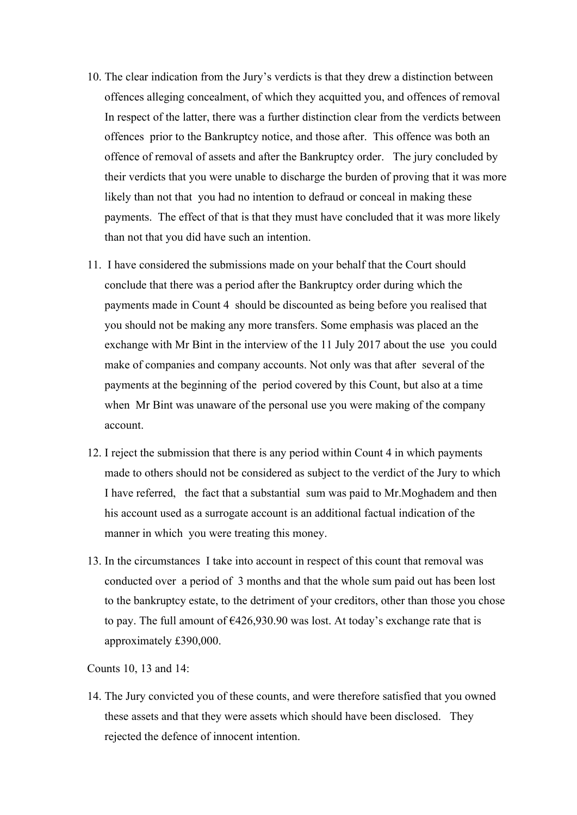- 10. The clear indication from the Jury's verdicts is that they drew a distinction between offences alleging concealment, of which they acquitted you, and offences of removal In respect of the latter, there was a further distinction clear from the verdicts between offences prior to the Bankruptcy notice, and those after. This offence was both an offence of removal of assets and after the Bankruptcy order. The jury concluded by their verdicts that you were unable to discharge the burden of proving that it was more likely than not that you had no intention to defraud or conceal in making these payments. The effect of that is that they must have concluded that it was more likely than not that you did have such an intention.
- 11. I have considered the submissions made on your behalf that the Court should conclude that there was a period after the Bankruptcy order during which the payments made in Count 4 should be discounted as being before you realised that you should not be making any more transfers. Some emphasis was placed an the exchange with Mr Bint in the interview of the 11 July 2017 about the use you could make of companies and company accounts. Not only was that after several of the payments at the beginning of the period covered by this Count, but also at a time when Mr Bint was unaware of the personal use you were making of the company account.
- 12. I reject the submission that there is any period within Count 4 in which payments made to others should not be considered as subject to the verdict of the Jury to which I have referred, the fact that a substantial sum was paid to Mr.Moghadem and then his account used as a surrogate account is an additional factual indication of the manner in which you were treating this money.
- 13. In the circumstances I take into account in respect of this count that removal was conducted over a period of 3 months and that the whole sum paid out has been lost to the bankruptcy estate, to the detriment of your creditors, other than those you chose to pay. The full amount of  $\epsilon$ 426,930.90 was lost. At today's exchange rate that is approximately £390,000.

Counts 10, 13 and 14:

14. The Jury convicted you of these counts, and were therefore satisfied that you owned these assets and that they were assets which should have been disclosed. They rejected the defence of innocent intention.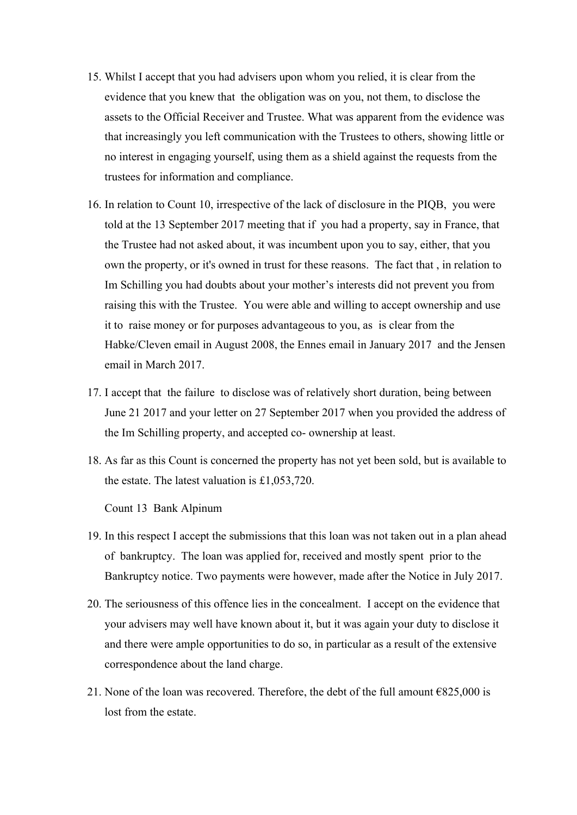- 15. Whilst I accept that you had advisers upon whom you relied, it is clear from the evidence that you knew that the obligation was on you, not them, to disclose the assets to the Official Receiver and Trustee. What was apparent from the evidence was that increasingly you left communication with the Trustees to others, showing little or no interest in engaging yourself, using them as a shield against the requests from the trustees for information and compliance.
- 16. In relation to Count 10, irrespective of the lack of disclosure in the PIQB, you were told at the 13 September 2017 meeting that if you had a property, say in France, that the Trustee had not asked about, it was incumbent upon you to say, either, that you own the property, or it's owned in trust for these reasons. The fact that , in relation to Im Schilling you had doubts about your mother's interests did not prevent you from raising this with the Trustee. You were able and willing to accept ownership and use it to raise money or for purposes advantageous to you, as is clear from the Habke/Cleven email in August 2008, the Ennes email in January 2017 and the Jensen email in March 2017.
- 17. I accept that the failure to disclose was of relatively short duration, being between June 21 2017 and your letter on 27 September 2017 when you provided the address of the Im Schilling property, and accepted co- ownership at least.
- 18. As far as this Count is concerned the property has not yet been sold, but is available to the estate. The latest valuation is £1,053,720.

Count 13 Bank Alpinum

- 19. In this respect I accept the submissions that this loan was not taken out in a plan ahead of bankruptcy. The loan was applied for, received and mostly spent prior to the Bankruptcy notice. Two payments were however, made after the Notice in July 2017.
- 20. The seriousness of this offence lies in the concealment. I accept on the evidence that your advisers may well have known about it, but it was again your duty to disclose it and there were ample opportunities to do so, in particular as a result of the extensive correspondence about the land charge.
- 21. None of the loan was recovered. Therefore, the debt of the full amount  $\epsilon$ 825,000 is lost from the estate.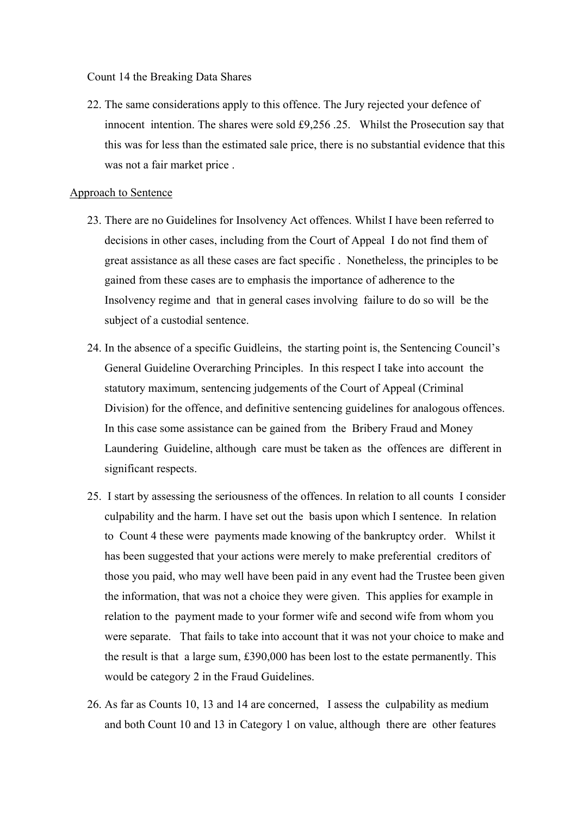Count 14 the Breaking Data Shares

22. The same considerations apply to this offence. The Jury rejected your defence of innocent intention. The shares were sold £9,256 .25. Whilst the Prosecution say that this was for less than the estimated sale price, there is no substantial evidence that this was not a fair market price .

#### Approach to Sentence

- 23. There are no Guidelines for Insolvency Act offences. Whilst I have been referred to decisions in other cases, including from the Court of Appeal I do not find them of great assistance as all these cases are fact specific . Nonetheless, the principles to be gained from these cases are to emphasis the importance of adherence to the Insolvency regime and that in general cases involving failure to do so will be the subject of a custodial sentence.
- 24. In the absence of a specific Guidleins, the starting point is, the Sentencing Council's General Guideline Overarching Principles. In this respect I take into account the statutory maximum, sentencing judgements of the Court of Appeal (Criminal Division) for the offence, and definitive sentencing guidelines for analogous offences. In this case some assistance can be gained from the Bribery Fraud and Money Laundering Guideline, although care must be taken as the offences are different in significant respects.
- 25. I start by assessing the seriousness of the offences. In relation to all counts I consider culpability and the harm. I have set out the basis upon which I sentence. In relation to Count 4 these were payments made knowing of the bankruptcy order. Whilst it has been suggested that your actions were merely to make preferential creditors of those you paid, who may well have been paid in any event had the Trustee been given the information, that was not a choice they were given. This applies for example in relation to the payment made to your former wife and second wife from whom you were separate. That fails to take into account that it was not your choice to make and the result is that a large sum, £390,000 has been lost to the estate permanently. This would be category 2 in the Fraud Guidelines.
- 26. As far as Counts 10, 13 and 14 are concerned, I assess the culpability as medium and both Count 10 and 13 in Category 1 on value, although there are other features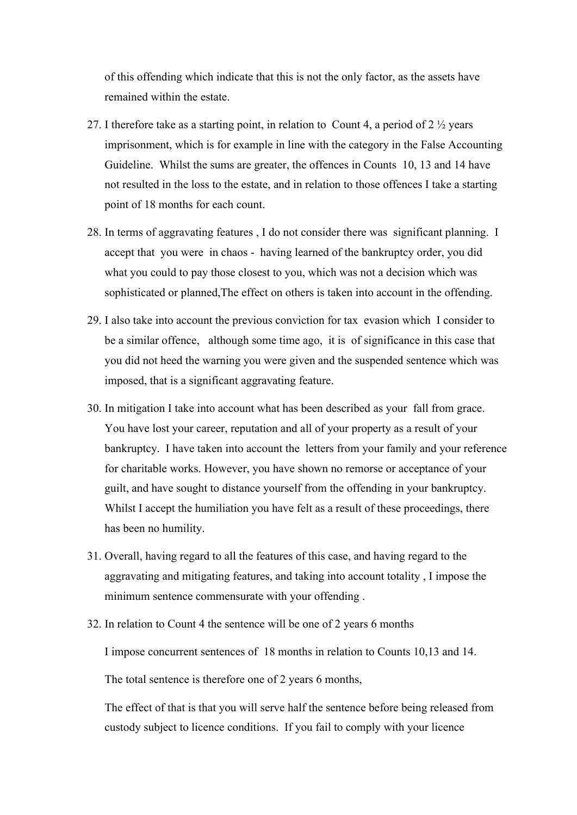of this offending which indicate that this is not the only factor, as the assets have remained within the estate.

- 27. I therefore take as a starting point, in relation to Count 4, a period of 2  $\frac{1}{2}$  years imprisonment, which is for example in line with the category in the False Accounting Guideline. Whilst the sums are greater, the offences in Counts 10, 13 and 14 have not resulted in the loss to the estate, and in relation to those offences I take a starting point of 18 months for each count.
- 28. In terms of aggravating features , I do not consider there was significant planning. I accept that you were in chaos - having learned of the bankruptcy order, you did what you could to pay those closest to you, which was not a decision which was sophisticated or planned,The effect on others is taken into account in the offending.
- 29. I also take into account the previous conviction for tax evasion which I consider to be a similar offence, although some time ago, it is of significance in this case that you did not heed the warning you were given and the suspended sentence which was imposed, that is a significant aggravating feature.
- 30. In mitigation I take into account what has been described as your fall from grace. You have lost your career, reputation and all of your property as a result of your bankruptcy. I have taken into account the letters from your family and your reference for charitable works. However, you have shown no remorse or acceptance of your guilt, and have sought to distance yourself from the offending in your bankruptcy. Whilst I accept the humiliation you have felt as a result of these proceedings, there has been no humility.
- 31. Overall, having regard to all the features of this case, and having regard to the aggravating and mitigating features, and taking into account totality , I impose the minimum sentence commensurate with your offending .
- 32. In relation to Count 4 the sentence will be one of 2 years 6 months

I impose concurrent sentences of 18 months in relation to Counts 10,13 and 14.

The total sentence is therefore one of 2 years 6 months,

The effect of that is that you will serve half the sentence before being released from custody subject to licence conditions. If you fail to comply with your licence